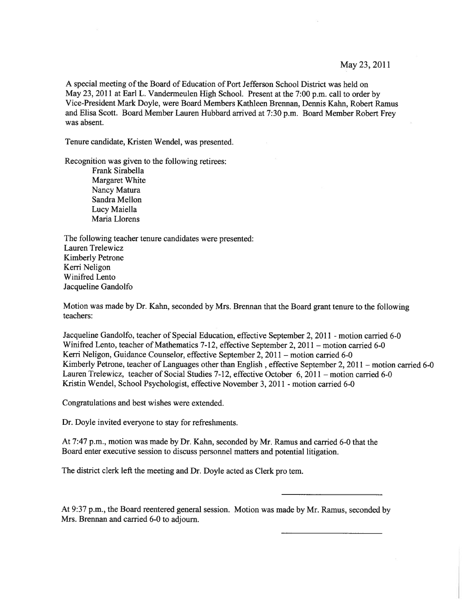May 23, 2011

A special meeting of the Board of Education of Port Jefferson School District was held on May 23, <sup>2011</sup> at Earl L. Vandermeulen High School. Present at the 7:00 p.m. call to order by Vice-President Mark Doyle, were Board Members Kathleen Brennan, Dennis Kahn, Robert Ramus and Elisa Scott. Board Member Lauren Hubbard arrived at 7:30 p.m. Board Member Robert Frey was absent.

Tenure candidate, Kristen Wendel, was presented.

Recognition was given to the following retirees:

Frank Sirabella Margaret White Nancy Matura Sandra Mellon Lucy Maiella Maria Liorens

The following teacher tenure candidates were presented: Lauren Trelewicz Kimberly Petrone Kerri Neligon Winifred Lento Jacqueline Gandolfo

Motion was made by Dr. Kahn, seconded by Mrs. Brennan that the Board gran<sup>t</sup> tenure to the following teachers:

Jacqueline Gandolfo, teacher of Special Education, effective September 2, 2011 - motion carried 6-0 Winifred Lento, teacher of Mathematics 7-12, effective September 2, 2011 — motion carried 6-0 Kerri Neligon, Guidance Counselor, effective September 2, 2011 – motion carried 6-0 Kimberly Petrone, teacher of Languages other than English, effective September 2, 2011 – motion carried 6-0 Lauren Trelewicz, teacher of Social Studies 7-12, effective October 6, 2011 — motion carried 6-0 Kristin Wendel, School Psychologist, effective November 3, 2011 - motion carried 6-0

Congratulations and best wishes were extended.

Dr. Doyle invited everyone to stay for refreshments.

At 7:47 p.m., motion was made by Dr. Kahn, seconded by Mr. Ramus and carried 6-0 that the Board enter executive session to discuss personnel matters and potential litigation.

The district clerk left the meeting and Dr. Doyle acted as Clerk pro tern.

At 9:37 p.m., the Board reentered genera<sup>l</sup> session. Motion was made by Mr. Ramus, seconded by Mrs. Brennan and carried 6-0 to adjourn.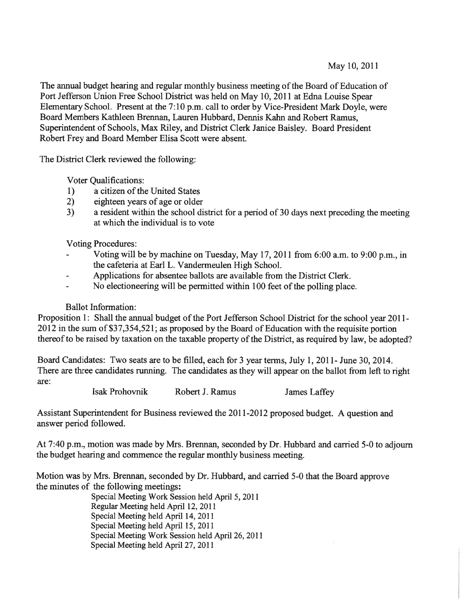May 10, 2011

The annual budget hearing and regular monthly business meeting of the Board of Education of Port Jefferson Union Free School District was held on May 10, 2011 at Edna Louise Spear Elementary School. Present at the 7:10 p.m. call to order by Vice-President Mark Doyle, were Board Members Kathleen Brennan, Lauren Hubbard, Dennis Kahn and Robert Ramus, Superintendent of Schools, Max Riley, and District Clerk Janice Baisley. Board President Robert Frey and Board Member Elisa Scott were absent.

The District Clerk reviewed the following:

Voter Qualifications:

- 1) a citizen of the United States
- 2) eighteen years of age or older
- 3) <sup>a</sup> resident within the school district for <sup>a</sup> period of 30 days next preceding the meeting at which the individual is to vote

Voting Procedures:

- Voting will be by machine on Tuesday, May 17, 2011 from 6:00 a.m. to 9:00 p.m., in the cafeteria at Earl L. Vandermeulen High School.
- Applications for absentee ballots are available from the District Clerk.
- No electioneering will be permitted within 100 feet of the polling place.

# Ballot Information:

Proposition 1: Shall the annual budget of the Port Jefferson School District for the school year 2011-<sup>2012</sup> in the sum of \$37,354,521; as propose<sup>d</sup> by the Board of Education with the requisite portion thereof to be raised by taxation on the taxable property of the District, as required by law, be adopted?

Board Candidates: Two seats are to be filled, each for 3 year terms, July 1, 2011- June 30, 2014. There are three candidates running. The candidates as they will appear on the ballot from left to right are:

Isak Prohovnik Robert J. Ramus James Laffey

Assistant Superintendent for Business reviewed the 2011-2012 proposed budget. A question and answer period followed.

At 7:40 p.m., motion was made by Mrs. Brennan, seconded by Dr. Hubbard and carried 5-0 to adjourn the budget hearing and commence the regular monthly business meeting.

Motion was by Mrs. Brennan, seconded by Dr. Hubbard, and carried 5-0 that the Board approve the minutes of the following meetings:

Special Meeting Work Session held April 5, 2011 Regular Meeting held April 12, 2011 Special Meeting held April 14, 2011 Special Meeting held April 15, 2011 Special Meeting Work Session held April 26, 2011 Special Meeting held April 27, 2011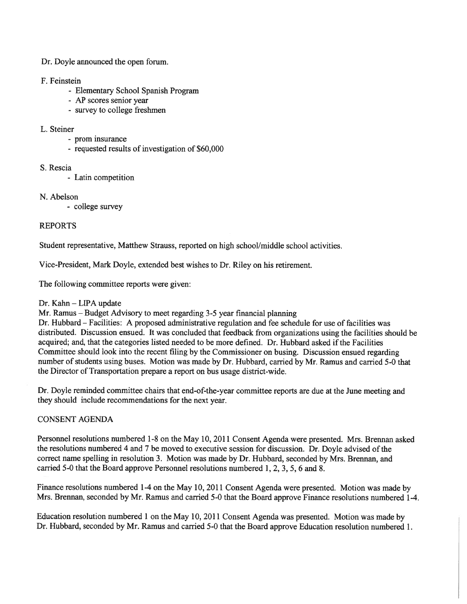Dr. Doyle announced the open forum.

### F. Feinstein

- Elementary School Spanish Program
- AP scores senior year
- survey to college freshmen

#### L. Steiner

- prom insurance
- requested results of investigation of \$60,000
- S. Rescia
	- Latin competition
- N. Abelson
	- college survey

# REPORTS

Student representative, Matthew Strauss, reported on high school/middle school activities.

Vice-President, Mark Doyle, extended best wishes to Dr. Riley on his retirement.

The following committee reports were given:

### Dr. Kahn — LIPA update

Mr. Ramus — Budget Advisory to meet regarding 3-5 year financial planning

Dr. Hubbard — Facilities: A proposed administrative regulation and fee schedule for use of facilities was distributed. Discussion ensued. It was concluded that feedback from organizations using the facilities should be acquired; and, that the categories listed needed to be more defined. Dr. Hubbard asked ifthe Facilities Committee should look into the recent filing by the Commissioner on busing. Discussion ensued regarding number of students using buses. Motion was made by Dr. Hubbard, carried by Mr. Ramus and carried 5-0 that the Director of Transportation prepare <sup>a</sup> repor<sup>t</sup> on bus usage district-wide.

Dr. Doyle reminded committee chairs that end-of-the-year committee reports are due at the June meeting and they should include recommendations for the next year.

# CONSENT AGENDA

Personnel resolutions numbered 1-8 on the May 10, <sup>2011</sup> Consent Agenda were presented. Mrs. Brennan asked the resolutions numbered 4 and 7 be moved to executive session for discussion. Dr. Doyle advised of the correct name spelling in resolution 3. Motion was made by Dr. Hubbard, seconded by Mrs. Brennan, and carried 5-0 that the Board approve Personnel resolutions numbered 1, 2, 3, 5, 6 and 8.

Finance resolutions numbered 1-4 on the May 10, <sup>2011</sup> Consent Agenda were presented. Motion was made by Mrs. Brennan, seconded by Mr. Ramus and carried 5-0 that the Board approve Finance resolutions numbered 1-4.

Education resolution numbered <sup>1</sup> on the May 10, <sup>2011</sup> Consent Agenda was presented. Motion was made by Dr. Hubbard, seconded by Mr. Ramus and carried 5-0 that the Board approve Education resolution numbered 1.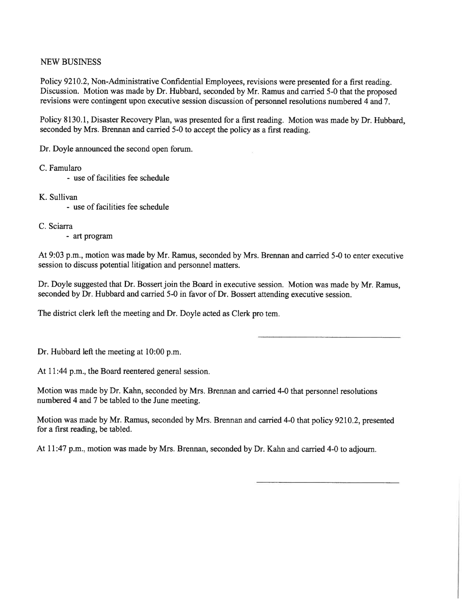### NEW BUSiNESS

Policy 9210.2, Non-Administrative Confidential Employees, revisions were presented for <sup>a</sup> first reading. Discussion. Motion was made by Dr. Hubbard, seconded by Mr. Ramus and carried 5-0 that the proposed revisions were contingent upon executive session discussion of personnel resolutions numbered 4 and 7.

Policy 8130.1, Disaster Recovery Plan, was presented for <sup>a</sup> first reading. Motion was made by Dr. Hubbard, seconded by Mrs. Brennan and carried 5-0 to accep<sup>t</sup> the policy as <sup>a</sup> first reading.

Dr. Doyle announced the second open forum.

C. Famularo

- use of facilities fee schedule
- K. Sullivan
	- use of facilities fee schedule

C. Sciarra

- art program

At 9:03 p.m., motion was made by Mr. Ramus, seconded by Mrs. Brennan and carried 5-0 to enter executive session to discuss potential litigation and personnel matters.

Dr. Doyle suggested that Dr. Bossert join the Board in executive session. Motion was made by Mr. Ramus, seconded by Dr. Hubbard and earned 5-0 in favor of Dr. Bossert attending executive session.

The district clerk left the meeting and Dr. Doyle acted as Clerk pro tem.

Dr. Hubbard left the meeting at 10:00 p.m.

At 11:44 p.m., the Board reentered general session.

Motion was made by Dr. Kahn, seconded by Mrs. Brennan and carried 4-0 that personnel resolutions numbered 4 and 7 be tabled to the June meeting.

Motion was made by Mr. Ramus, seconded by Mrs. Brennan and carried 4-0 that policy 9210.2, presented for <sup>a</sup> first reading, be tabled.

At 11:47 p.m., motion was made by Mrs. Brennan, seconded by Dr. Kahn and carried 4-0 to adjourn.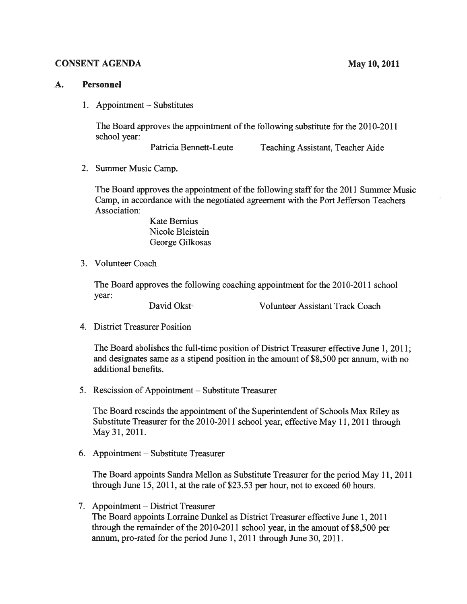## CONSENT AGENDA May 10, 2011

#### A. Personnel

1. Appointment — Substitutes

The Board approves the appointment of the following substitute for the 2010-2011 school year:

Patricia Bennett-Leute Teaching Assistant, Teacher Aide

2. Summer Music Camp.

The Board approves the appointment of the following staff for the 2011 Summer Music Camp, in accordance with the negotiated agreemen<sup>t</sup> with the Port Jefferson Teachers Association:

> Kate Bernius Nicole Bleistein George Gilkosas

3. Volunteer Coach

The Board approves the following coaching appointment for the 2010-2011 school year:

David Okst Volunteer Assistant Track Coach

4. District Treasurer Position

The Board abolishes the full-time position of District Treasurer effective June 1, 2011; and designates same as <sup>a</sup> stipend position in the amount of \$8,500 per annum, with no additional benefits.

5. Rescission of Appointment — Substitute Treasurer

The Board rescinds the appointment of the Superintendent of Schools Max Riley as Substitute Treasurer for the 2010-2011 school year, effective May 11, 2011 through May 31, 2011.

6. Appointment — Substitute Treasurer

The Board appoints Sandra Mellon as Substitute Treasurer for the period May 11, 2011 through June 15, 2011, at the rate of \$23.53 per hour, not to exceed 60 hours.

7. Appointment — District Treasurer

The Board appoints Lorraine Dunkel as District Treasurer effective June 1, 2011 through the remainder of the  $2010-2011$  school year, in the amount of \$8,500 per annum, pro-rated for the period June 1, 2011 through June 30, 2011.